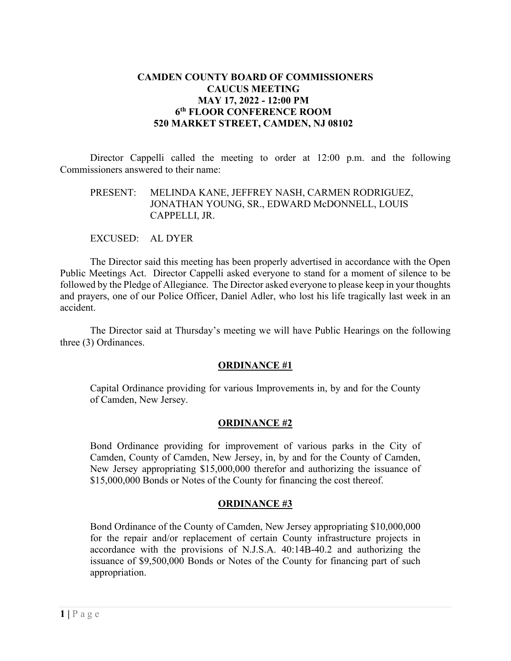### **CAMDEN COUNTY BOARD OF COMMISSIONERS CAUCUS MEETING MAY 17, 2022 - 12:00 PM 6th FLOOR CONFERENCE ROOM 520 MARKET STREET, CAMDEN, NJ 08102**

 Director Cappelli called the meeting to order at 12:00 p.m. and the following Commissioners answered to their name:

### PRESENT: MELINDA KANE, JEFFREY NASH, CARMEN RODRIGUEZ, JONATHAN YOUNG, SR., EDWARD McDONNELL, LOUIS CAPPELLI, JR.

### EXCUSED: AL DYER

The Director said this meeting has been properly advertised in accordance with the Open Public Meetings Act. Director Cappelli asked everyone to stand for a moment of silence to be followed by the Pledge of Allegiance. The Director asked everyone to please keep in your thoughts and prayers, one of our Police Officer, Daniel Adler, who lost his life tragically last week in an accident.

The Director said at Thursday's meeting we will have Public Hearings on the following three (3) Ordinances.

### **ORDINANCE #1**

Capital Ordinance providing for various Improvements in, by and for the County of Camden, New Jersey.

### **ORDINANCE #2**

Bond Ordinance providing for improvement of various parks in the City of Camden, County of Camden, New Jersey, in, by and for the County of Camden, New Jersey appropriating \$15,000,000 therefor and authorizing the issuance of \$15,000,000 Bonds or Notes of the County for financing the cost thereof.

### **ORDINANCE #3**

Bond Ordinance of the County of Camden, New Jersey appropriating \$10,000,000 for the repair and/or replacement of certain County infrastructure projects in accordance with the provisions of N.J.S.A. 40:14B-40.2 and authorizing the issuance of \$9,500,000 Bonds or Notes of the County for financing part of such appropriation.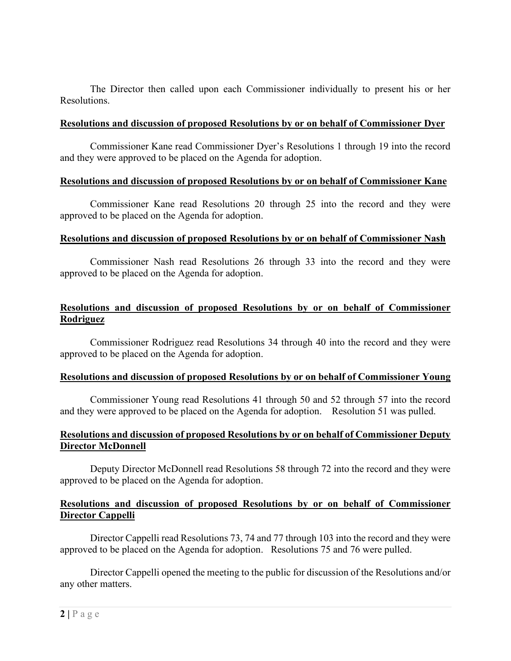The Director then called upon each Commissioner individually to present his or her Resolutions.

### **Resolutions and discussion of proposed Resolutions by or on behalf of Commissioner Dyer**

Commissioner Kane read Commissioner Dyer's Resolutions 1 through 19 into the record and they were approved to be placed on the Agenda for adoption.

# **Resolutions and discussion of proposed Resolutions by or on behalf of Commissioner Kane**

Commissioner Kane read Resolutions 20 through 25 into the record and they were approved to be placed on the Agenda for adoption.

# **Resolutions and discussion of proposed Resolutions by or on behalf of Commissioner Nash**

Commissioner Nash read Resolutions 26 through 33 into the record and they were approved to be placed on the Agenda for adoption.

# **Resolutions and discussion of proposed Resolutions by or on behalf of Commissioner Rodriguez**

Commissioner Rodriguez read Resolutions 34 through 40 into the record and they were approved to be placed on the Agenda for adoption.

# **Resolutions and discussion of proposed Resolutions by or on behalf of Commissioner Young**

Commissioner Young read Resolutions 41 through 50 and 52 through 57 into the record and they were approved to be placed on the Agenda for adoption. Resolution 51 was pulled.

# **Resolutions and discussion of proposed Resolutions by or on behalf of Commissioner Deputy Director McDonnell**

Deputy Director McDonnell read Resolutions 58 through 72 into the record and they were approved to be placed on the Agenda for adoption.

### **Resolutions and discussion of proposed Resolutions by or on behalf of Commissioner Director Cappelli**

Director Cappelli read Resolutions 73, 74 and 77 through 103 into the record and they were approved to be placed on the Agenda for adoption. Resolutions 75 and 76 were pulled.

Director Cappelli opened the meeting to the public for discussion of the Resolutions and/or any other matters.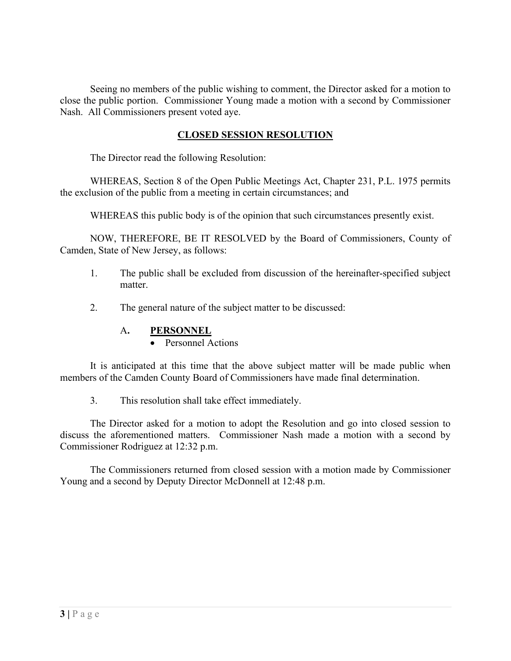Seeing no members of the public wishing to comment, the Director asked for a motion to close the public portion. Commissioner Young made a motion with a second by Commissioner Nash. All Commissioners present voted aye.

# **CLOSED SESSION RESOLUTION**

The Director read the following Resolution:

WHEREAS, Section 8 of the Open Public Meetings Act, Chapter 231, P.L. 1975 permits the exclusion of the public from a meeting in certain circumstances; and

WHEREAS this public body is of the opinion that such circumstances presently exist.

NOW, THEREFORE, BE IT RESOLVED by the Board of Commissioners, County of Camden, State of New Jersey, as follows:

- 1. The public shall be excluded from discussion of the hereinafter-specified subject matter.
- 2. The general nature of the subject matter to be discussed:
	- A**. PERSONNEL**
		- Personnel Actions

It is anticipated at this time that the above subject matter will be made public when members of the Camden County Board of Commissioners have made final determination.

3. This resolution shall take effect immediately.

The Director asked for a motion to adopt the Resolution and go into closed session to discuss the aforementioned matters. Commissioner Nash made a motion with a second by Commissioner Rodriguez at 12:32 p.m.

The Commissioners returned from closed session with a motion made by Commissioner Young and a second by Deputy Director McDonnell at 12:48 p.m.